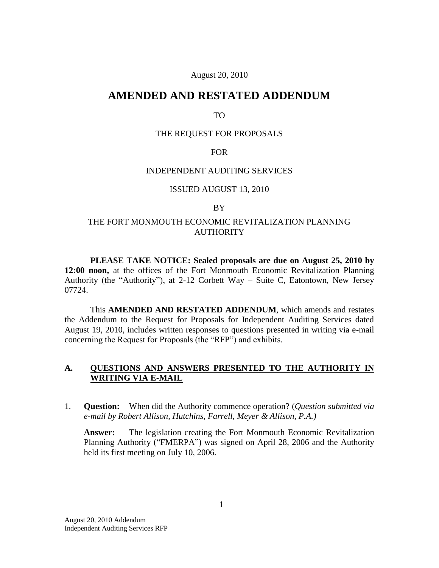### August 20, 2010

# **AMENDED AND RESTATED ADDENDUM**

#### TO

#### THE REQUEST FOR PROPOSALS

### FOR

#### INDEPENDENT AUDITING SERVICES

# ISSUED AUGUST 13, 2010

#### BY

# THE FORT MONMOUTH ECONOMIC REVITALIZATION PLANNING **AUTHORITY**

**PLEASE TAKE NOTICE: Sealed proposals are due on August 25, 2010 by 12:00 noon,** at the offices of the Fort Monmouth Economic Revitalization Planning Authority (the "Authority"), at 2-12 Corbett Way – Suite C, Eatontown, New Jersey 07724.

This **AMENDED AND RESTATED ADDENDUM**, which amends and restates the Addendum to the Request for Proposals for Independent Auditing Services dated August 19, 2010, includes written responses to questions presented in writing via e-mail concerning the Request for Proposals (the "RFP") and exhibits.

# **A. QUESTIONS AND ANSWERS PRESENTED TO THE AUTHORITY IN WRITING VIA E-MAIL**

1. **Question:** When did the Authority commence operation? (*Question submitted via e-mail by Robert Allison, Hutchins, Farrell, Meyer & Allison, P.A.)*

**Answer:** The legislation creating the Fort Monmouth Economic Revitalization Planning Authority ("FMERPA") was signed on April 28, 2006 and the Authority held its first meeting on July 10, 2006.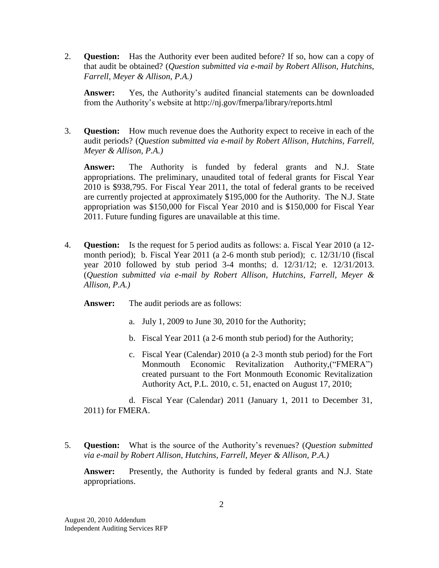2. **Question:** Has the Authority ever been audited before? If so, how can a copy of that audit be obtained? (*Question submitted via e-mail by Robert Allison, Hutchins, Farrell, Meyer & Allison, P.A.)*

**Answer:** Yes, the Authority's audited financial statements can be downloaded from the Authority's website at http://nj.gov/fmerpa/library/reports.html

3. **Question:** How much revenue does the Authority expect to receive in each of the audit periods? (*Question submitted via e-mail by Robert Allison, Hutchins, Farrell, Meyer & Allison, P.A.)*

**Answer:** The Authority is funded by federal grants and N.J. State appropriations. The preliminary, unaudited total of federal grants for Fiscal Year 2010 is \$938,795. For Fiscal Year 2011, the total of federal grants to be received are currently projected at approximately \$195,000 for the Authority. The N.J. State appropriation was \$150,000 for Fiscal Year 2010 and is \$150,000 for Fiscal Year 2011. Future funding figures are unavailable at this time.

4. **Question:** Is the request for 5 period audits as follows: a. Fiscal Year 2010 (a 12 month period); b. Fiscal Year 2011 (a 2-6 month stub period); c. 12/31/10 (fiscal year 2010 followed by stub period 3-4 months; d. 12/31/12; e. 12/31/2013. (*Question submitted via e-mail by Robert Allison, Hutchins, Farrell, Meyer & Allison, P.A.)*

**Answer:** The audit periods are as follows:

- a. July 1, 2009 to June 30, 2010 for the Authority;
- b. Fiscal Year 2011 (a 2-6 month stub period) for the Authority;
- c. Fiscal Year (Calendar) 2010 (a 2-3 month stub period) for the Fort Monmouth Economic Revitalization Authority,("FMERA") created pursuant to the Fort Monmouth Economic Revitalization Authority Act, P.L. 2010, c. 51, enacted on August 17, 2010;

d. Fiscal Year (Calendar) 2011 (January 1, 2011 to December 31, 2011) for FMERA.

5. **Question:** What is the source of the Authority's revenues? (*Question submitted via e-mail by Robert Allison, Hutchins, Farrell, Meyer & Allison, P.A.)*

**Answer:** Presently, the Authority is funded by federal grants and N.J. State appropriations.